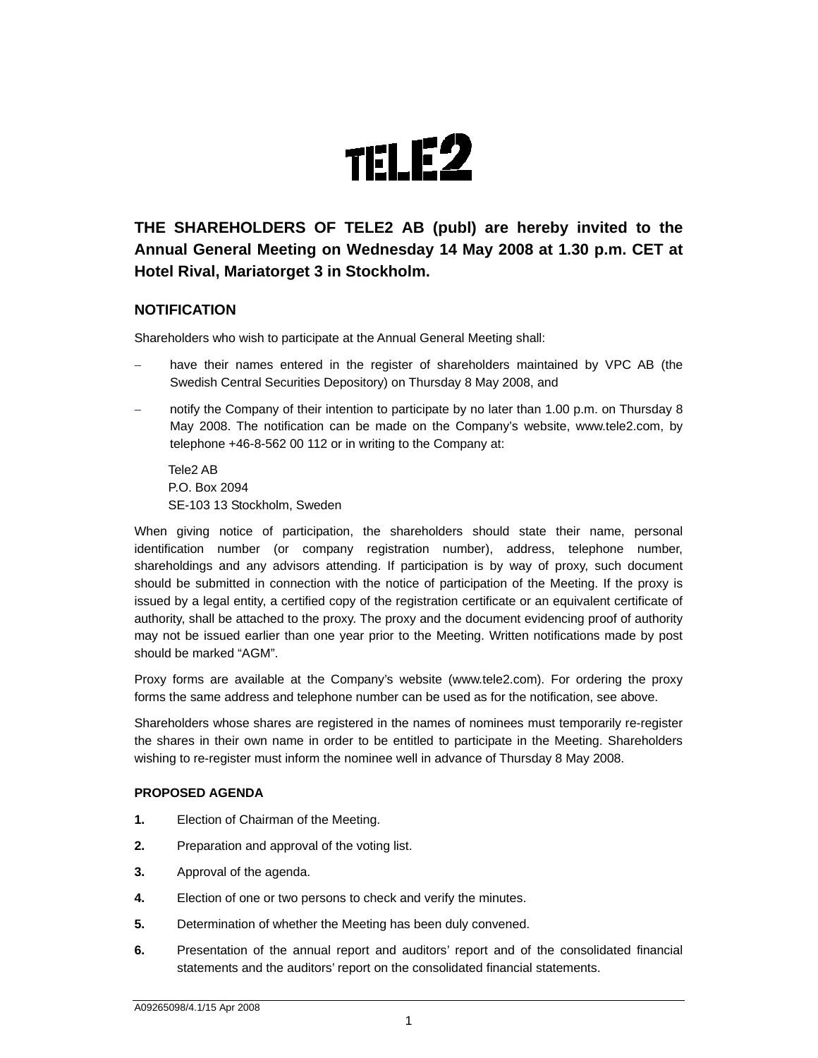

# **THE SHAREHOLDERS OF TELE2 AB (publ) are hereby invited to the Annual General Meeting on Wednesday 14 May 2008 at 1.30 p.m. CET at Hotel Rival, Mariatorget 3 in Stockholm.**

# **NOTIFICATION**

Shareholders who wish to participate at the Annual General Meeting shall:

- have their names entered in the register of shareholders maintained by VPC AB (the Swedish Central Securities Depository) on Thursday 8 May 2008, and
- notify the Company of their intention to participate by no later than 1.00 p.m. on Thursday 8 May 2008. The notification can be made on the Company's website, www.tele2.com, by telephone +46-8-562 00 112 or in writing to the Company at:

Tele2 AB P.O. Box 2094 SE-103 13 Stockholm, Sweden

When giving notice of participation, the shareholders should state their name, personal identification number (or company registration number), address, telephone number, shareholdings and any advisors attending. If participation is by way of proxy, such document should be submitted in connection with the notice of participation of the Meeting. If the proxy is issued by a legal entity, a certified copy of the registration certificate or an equivalent certificate of authority, shall be attached to the proxy. The proxy and the document evidencing proof of authority may not be issued earlier than one year prior to the Meeting. Written notifications made by post should be marked "AGM".

Proxy forms are available at the Company's website (www.tele2.com). For ordering the proxy forms the same address and telephone number can be used as for the notification, see above.

Shareholders whose shares are registered in the names of nominees must temporarily re-register the shares in their own name in order to be entitled to participate in the Meeting. Shareholders wishing to re-register must inform the nominee well in advance of Thursday 8 May 2008.

# **PROPOSED AGENDA**

- **1.** Election of Chairman of the Meeting.
- **2.** Preparation and approval of the voting list.
- **3.** Approval of the agenda.
- **4.** Election of one or two persons to check and verify the minutes.
- **5.** Determination of whether the Meeting has been duly convened.
- **6.** Presentation of the annual report and auditors' report and of the consolidated financial statements and the auditors' report on the consolidated financial statements.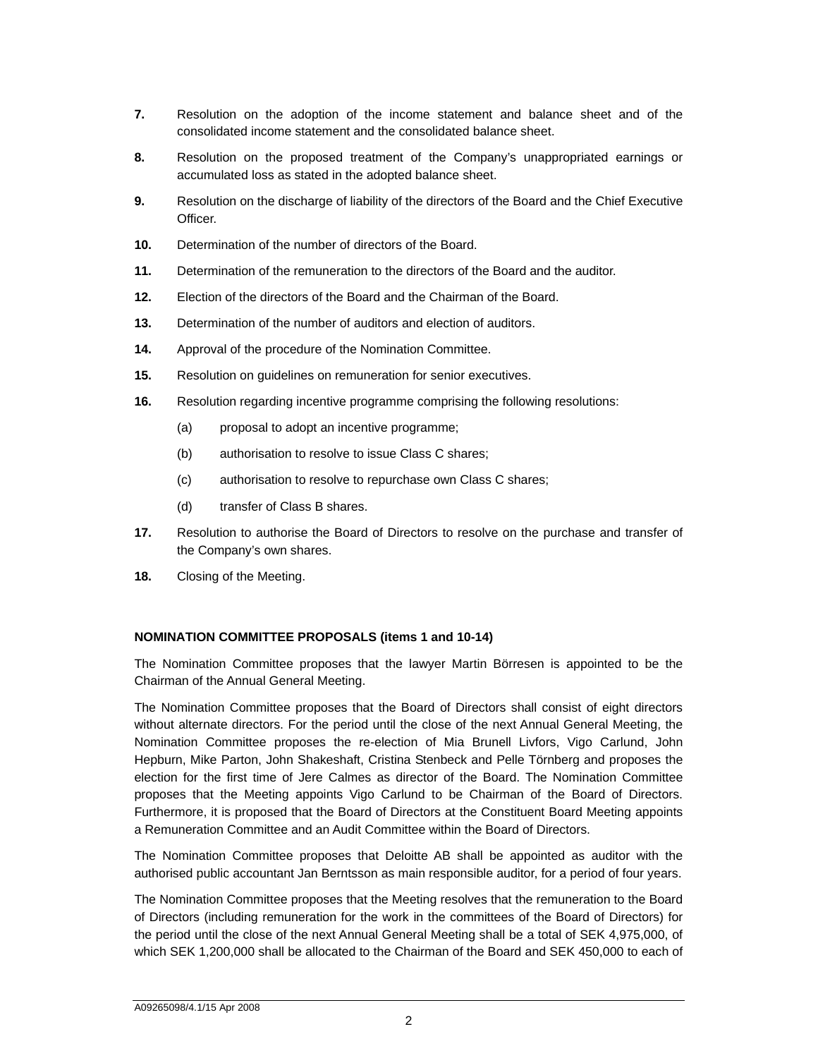- **7.** Resolution on the adoption of the income statement and balance sheet and of the consolidated income statement and the consolidated balance sheet.
- **8.** Resolution on the proposed treatment of the Company's unappropriated earnings or accumulated loss as stated in the adopted balance sheet.
- **9.** Resolution on the discharge of liability of the directors of the Board and the Chief Executive Officer.
- **10.** Determination of the number of directors of the Board.
- **11.** Determination of the remuneration to the directors of the Board and the auditor.
- **12.** Election of the directors of the Board and the Chairman of the Board.
- **13.** Determination of the number of auditors and election of auditors.
- **14.** Approval of the procedure of the Nomination Committee.
- **15.** Resolution on guidelines on remuneration for senior executives.
- **16.** Resolution regarding incentive programme comprising the following resolutions:
	- (a) proposal to adopt an incentive programme;
	- (b) authorisation to resolve to issue Class C shares;
	- (c) authorisation to resolve to repurchase own Class C shares;
	- (d) transfer of Class B shares.
- **17.** Resolution to authorise the Board of Directors to resolve on the purchase and transfer of the Company's own shares.
- **18.** Closing of the Meeting.

#### **NOMINATION COMMITTEE PROPOSALS (items 1 and 10-14)**

The Nomination Committee proposes that the lawyer Martin Börresen is appointed to be the Chairman of the Annual General Meeting.

The Nomination Committee proposes that the Board of Directors shall consist of eight directors without alternate directors. For the period until the close of the next Annual General Meeting, the Nomination Committee proposes the re-election of Mia Brunell Livfors, Vigo Carlund, John Hepburn, Mike Parton, John Shakeshaft, Cristina Stenbeck and Pelle Törnberg and proposes the election for the first time of Jere Calmes as director of the Board. The Nomination Committee proposes that the Meeting appoints Vigo Carlund to be Chairman of the Board of Directors. Furthermore, it is proposed that the Board of Directors at the Constituent Board Meeting appoints a Remuneration Committee and an Audit Committee within the Board of Directors.

The Nomination Committee proposes that Deloitte AB shall be appointed as auditor with the authorised public accountant Jan Berntsson as main responsible auditor, for a period of four years.

The Nomination Committee proposes that the Meeting resolves that the remuneration to the Board of Directors (including remuneration for the work in the committees of the Board of Directors) for the period until the close of the next Annual General Meeting shall be a total of SEK 4,975,000, of which SEK 1,200,000 shall be allocated to the Chairman of the Board and SEK 450,000 to each of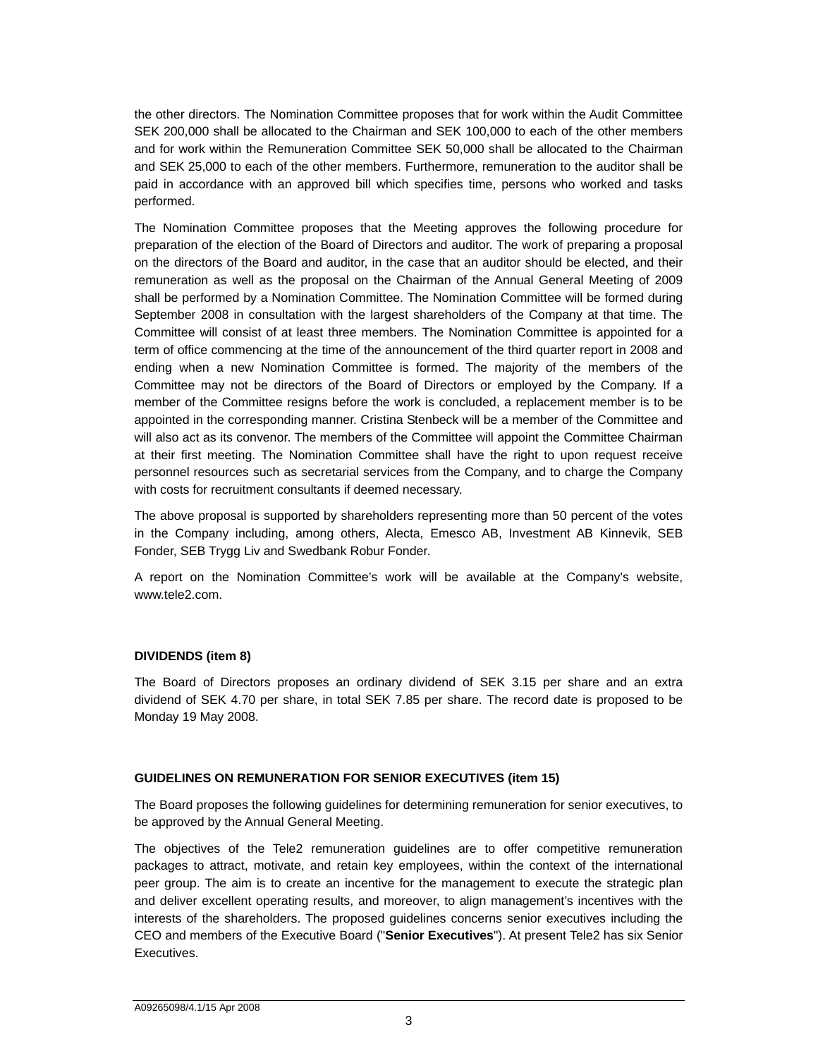the other directors. The Nomination Committee proposes that for work within the Audit Committee SEK 200,000 shall be allocated to the Chairman and SEK 100,000 to each of the other members and for work within the Remuneration Committee SEK 50,000 shall be allocated to the Chairman and SEK 25,000 to each of the other members. Furthermore, remuneration to the auditor shall be paid in accordance with an approved bill which specifies time, persons who worked and tasks performed.

The Nomination Committee proposes that the Meeting approves the following procedure for preparation of the election of the Board of Directors and auditor. The work of preparing a proposal on the directors of the Board and auditor, in the case that an auditor should be elected, and their remuneration as well as the proposal on the Chairman of the Annual General Meeting of 2009 shall be performed by a Nomination Committee. The Nomination Committee will be formed during September 2008 in consultation with the largest shareholders of the Company at that time. The Committee will consist of at least three members. The Nomination Committee is appointed for a term of office commencing at the time of the announcement of the third quarter report in 2008 and ending when a new Nomination Committee is formed. The majority of the members of the Committee may not be directors of the Board of Directors or employed by the Company. If a member of the Committee resigns before the work is concluded, a replacement member is to be appointed in the corresponding manner. Cristina Stenbeck will be a member of the Committee and will also act as its convenor. The members of the Committee will appoint the Committee Chairman at their first meeting. The Nomination Committee shall have the right to upon request receive personnel resources such as secretarial services from the Company, and to charge the Company with costs for recruitment consultants if deemed necessary.

The above proposal is supported by shareholders representing more than 50 percent of the votes in the Company including, among others, Alecta, Emesco AB, Investment AB Kinnevik, SEB Fonder, SEB Trygg Liv and Swedbank Robur Fonder.

A report on the Nomination Committee's work will be available at the Company's website, www.tele2.com.

# **DIVIDENDS (item 8)**

The Board of Directors proposes an ordinary dividend of SEK 3.15 per share and an extra dividend of SEK 4.70 per share, in total SEK 7.85 per share. The record date is proposed to be Monday 19 May 2008.

# **GUIDELINES ON REMUNERATION FOR SENIOR EXECUTIVES (item 15)**

The Board proposes the following guidelines for determining remuneration for senior executives, to be approved by the Annual General Meeting.

The objectives of the Tele2 remuneration guidelines are to offer competitive remuneration packages to attract, motivate, and retain key employees, within the context of the international peer group. The aim is to create an incentive for the management to execute the strategic plan and deliver excellent operating results, and moreover, to align management's incentives with the interests of the shareholders. The proposed guidelines concerns senior executives including the CEO and members of the Executive Board ("**Senior Executives**"). At present Tele2 has six Senior Executives.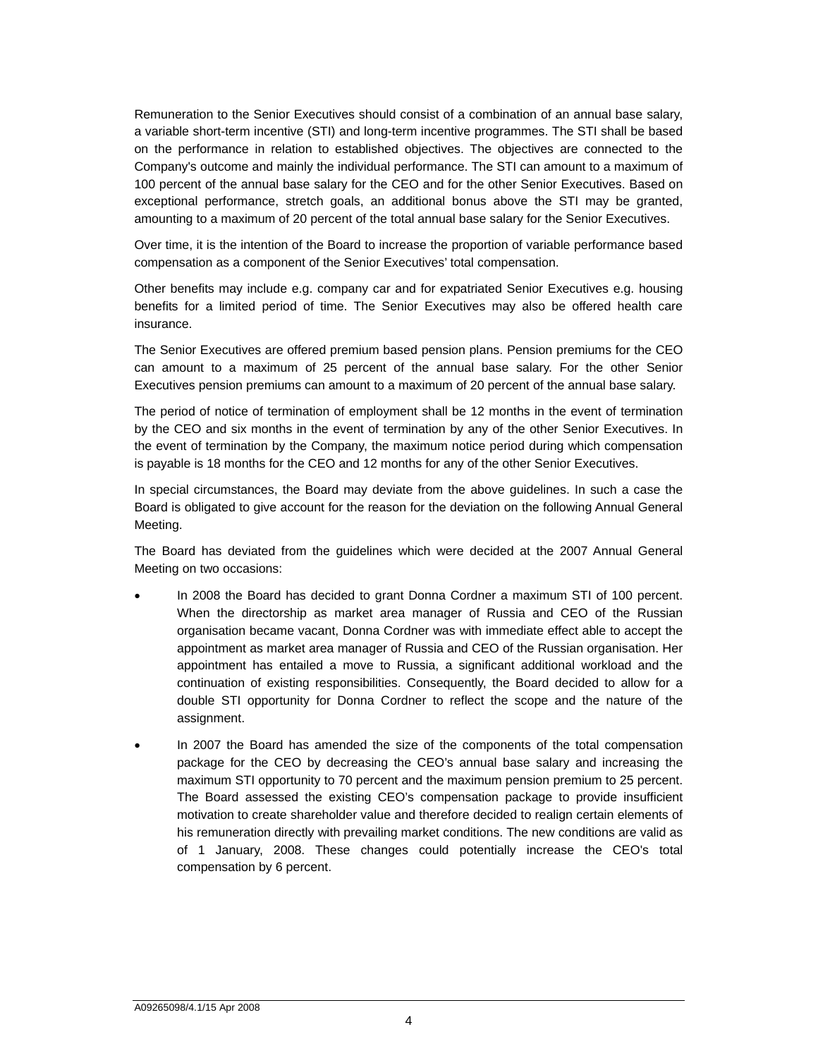Remuneration to the Senior Executives should consist of a combination of an annual base salary, a variable short-term incentive (STI) and long-term incentive programmes. The STI shall be based on the performance in relation to established objectives. The objectives are connected to the Company's outcome and mainly the individual performance. The STI can amount to a maximum of 100 percent of the annual base salary for the CEO and for the other Senior Executives. Based on exceptional performance, stretch goals, an additional bonus above the STI may be granted, amounting to a maximum of 20 percent of the total annual base salary for the Senior Executives.

Over time, it is the intention of the Board to increase the proportion of variable performance based compensation as a component of the Senior Executives' total compensation.

Other benefits may include e.g. company car and for expatriated Senior Executives e.g. housing benefits for a limited period of time. The Senior Executives may also be offered health care insurance.

The Senior Executives are offered premium based pension plans. Pension premiums for the CEO can amount to a maximum of 25 percent of the annual base salary. For the other Senior Executives pension premiums can amount to a maximum of 20 percent of the annual base salary.

The period of notice of termination of employment shall be 12 months in the event of termination by the CEO and six months in the event of termination by any of the other Senior Executives. In the event of termination by the Company, the maximum notice period during which compensation is payable is 18 months for the CEO and 12 months for any of the other Senior Executives.

In special circumstances, the Board may deviate from the above guidelines. In such a case the Board is obligated to give account for the reason for the deviation on the following Annual General Meeting.

The Board has deviated from the guidelines which were decided at the 2007 Annual General Meeting on two occasions:

- In 2008 the Board has decided to grant Donna Cordner a maximum STI of 100 percent. When the directorship as market area manager of Russia and CEO of the Russian organisation became vacant, Donna Cordner was with immediate effect able to accept the appointment as market area manager of Russia and CEO of the Russian organisation. Her appointment has entailed a move to Russia, a significant additional workload and the continuation of existing responsibilities. Consequently, the Board decided to allow for a double STI opportunity for Donna Cordner to reflect the scope and the nature of the assignment.
- In 2007 the Board has amended the size of the components of the total compensation package for the CEO by decreasing the CEO's annual base salary and increasing the maximum STI opportunity to 70 percent and the maximum pension premium to 25 percent. The Board assessed the existing CEO's compensation package to provide insufficient motivation to create shareholder value and therefore decided to realign certain elements of his remuneration directly with prevailing market conditions. The new conditions are valid as of 1 January, 2008. These changes could potentially increase the CEO's total compensation by 6 percent.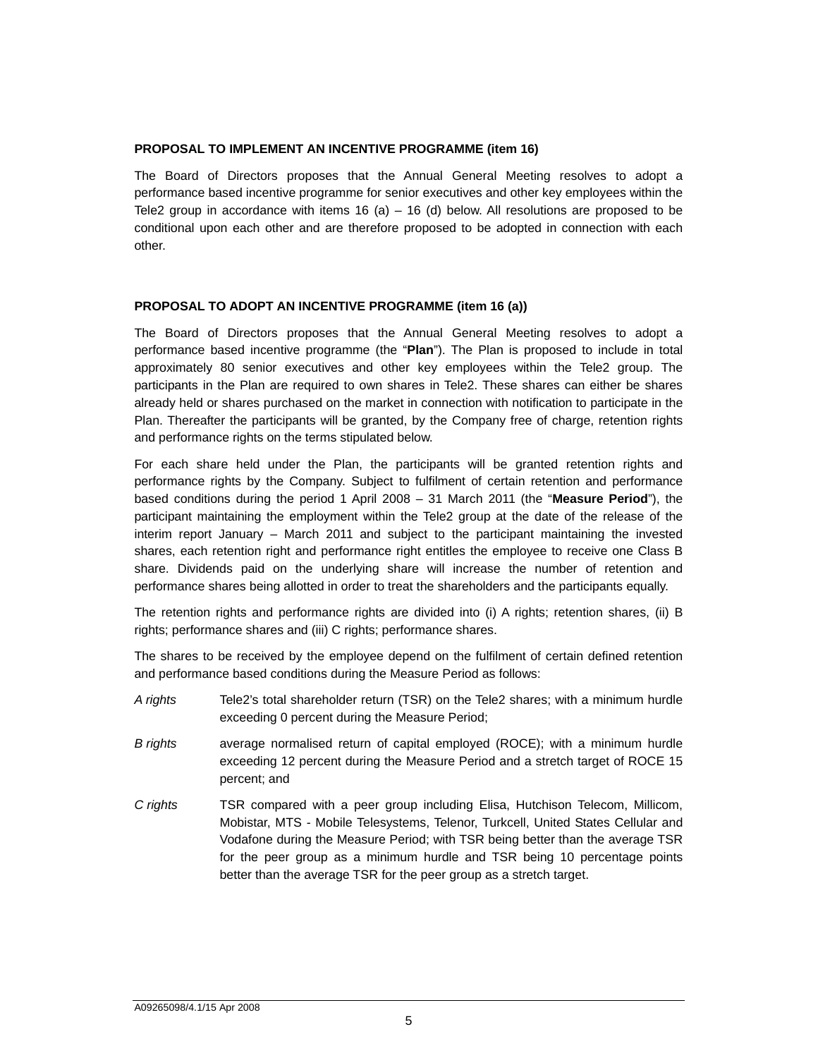#### **PROPOSAL TO IMPLEMENT AN INCENTIVE PROGRAMME (item 16)**

The Board of Directors proposes that the Annual General Meeting resolves to adopt a performance based incentive programme for senior executives and other key employees within the Tele2 group in accordance with items  $16$  (a) –  $16$  (d) below. All resolutions are proposed to be conditional upon each other and are therefore proposed to be adopted in connection with each other.

#### **PROPOSAL TO ADOPT AN INCENTIVE PROGRAMME (item 16 (a))**

The Board of Directors proposes that the Annual General Meeting resolves to adopt a performance based incentive programme (the "**Plan**"). The Plan is proposed to include in total approximately 80 senior executives and other key employees within the Tele2 group. The participants in the Plan are required to own shares in Tele2. These shares can either be shares already held or shares purchased on the market in connection with notification to participate in the Plan. Thereafter the participants will be granted, by the Company free of charge, retention rights and performance rights on the terms stipulated below.

For each share held under the Plan, the participants will be granted retention rights and performance rights by the Company. Subject to fulfilment of certain retention and performance based conditions during the period 1 April 2008 – 31 March 2011 (the "**Measure Period**"), the participant maintaining the employment within the Tele2 group at the date of the release of the interim report January – March 2011 and subject to the participant maintaining the invested shares, each retention right and performance right entitles the employee to receive one Class B share. Dividends paid on the underlying share will increase the number of retention and performance shares being allotted in order to treat the shareholders and the participants equally.

The retention rights and performance rights are divided into (i) A rights; retention shares, (ii) B rights; performance shares and (iii) C rights; performance shares.

The shares to be received by the employee depend on the fulfilment of certain defined retention and performance based conditions during the Measure Period as follows:

- *A rights* Tele2's total shareholder return (TSR) on the Tele2 shares; with a minimum hurdle exceeding 0 percent during the Measure Period;
- *B rights* average normalised return of capital employed (ROCE); with a minimum hurdle exceeding 12 percent during the Measure Period and a stretch target of ROCE 15 percent; and
- *C rights* TSR compared with a peer group including Elisa, Hutchison Telecom, Millicom, Mobistar, MTS - Mobile Telesystems, Telenor, Turkcell, United States Cellular and Vodafone during the Measure Period; with TSR being better than the average TSR for the peer group as a minimum hurdle and TSR being 10 percentage points better than the average TSR for the peer group as a stretch target.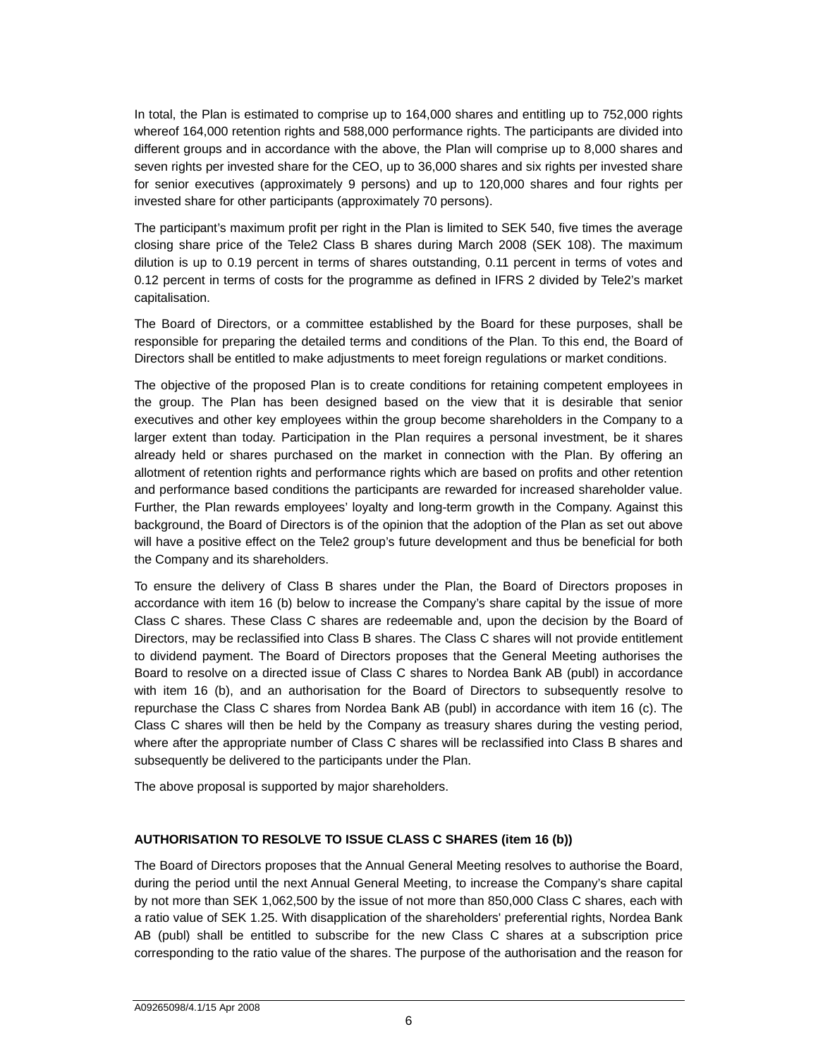In total, the Plan is estimated to comprise up to 164,000 shares and entitling up to 752,000 rights whereof 164,000 retention rights and 588,000 performance rights. The participants are divided into different groups and in accordance with the above, the Plan will comprise up to 8,000 shares and seven rights per invested share for the CEO, up to 36,000 shares and six rights per invested share for senior executives (approximately 9 persons) and up to 120,000 shares and four rights per invested share for other participants (approximately 70 persons).

The participant's maximum profit per right in the Plan is limited to SEK 540, five times the average closing share price of the Tele2 Class B shares during March 2008 (SEK 108). The maximum dilution is up to 0.19 percent in terms of shares outstanding, 0.11 percent in terms of votes and 0.12 percent in terms of costs for the programme as defined in IFRS 2 divided by Tele2's market capitalisation.

The Board of Directors, or a committee established by the Board for these purposes, shall be responsible for preparing the detailed terms and conditions of the Plan. To this end, the Board of Directors shall be entitled to make adjustments to meet foreign regulations or market conditions.

The objective of the proposed Plan is to create conditions for retaining competent employees in the group. The Plan has been designed based on the view that it is desirable that senior executives and other key employees within the group become shareholders in the Company to a larger extent than today. Participation in the Plan requires a personal investment, be it shares already held or shares purchased on the market in connection with the Plan. By offering an allotment of retention rights and performance rights which are based on profits and other retention and performance based conditions the participants are rewarded for increased shareholder value. Further, the Plan rewards employees' loyalty and long-term growth in the Company. Against this background, the Board of Directors is of the opinion that the adoption of the Plan as set out above will have a positive effect on the Tele2 group's future development and thus be beneficial for both the Company and its shareholders.

To ensure the delivery of Class B shares under the Plan, the Board of Directors proposes in accordance with item 16 (b) below to increase the Company's share capital by the issue of more Class C shares. These Class C shares are redeemable and, upon the decision by the Board of Directors, may be reclassified into Class B shares. The Class C shares will not provide entitlement to dividend payment. The Board of Directors proposes that the General Meeting authorises the Board to resolve on a directed issue of Class C shares to Nordea Bank AB (publ) in accordance with item 16 (b), and an authorisation for the Board of Directors to subsequently resolve to repurchase the Class C shares from Nordea Bank AB (publ) in accordance with item 16 (c). The Class C shares will then be held by the Company as treasury shares during the vesting period, where after the appropriate number of Class C shares will be reclassified into Class B shares and subsequently be delivered to the participants under the Plan.

The above proposal is supported by major shareholders.

# **AUTHORISATION TO RESOLVE TO ISSUE CLASS C SHARES (item 16 (b))**

The Board of Directors proposes that the Annual General Meeting resolves to authorise the Board, during the period until the next Annual General Meeting, to increase the Company's share capital by not more than SEK 1,062,500 by the issue of not more than 850,000 Class C shares, each with a ratio value of SEK 1.25. With disapplication of the shareholders' preferential rights, Nordea Bank AB (publ) shall be entitled to subscribe for the new Class C shares at a subscription price corresponding to the ratio value of the shares. The purpose of the authorisation and the reason for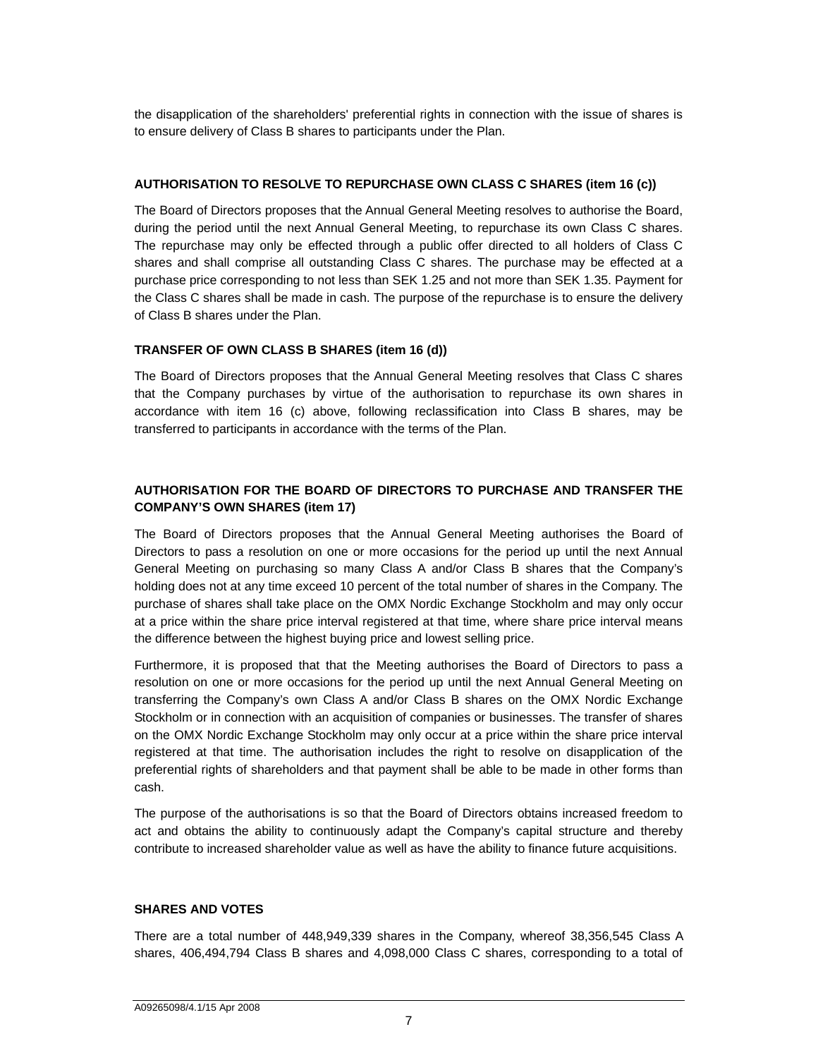the disapplication of the shareholders' preferential rights in connection with the issue of shares is to ensure delivery of Class B shares to participants under the Plan.

# **AUTHORISATION TO RESOLVE TO REPURCHASE OWN CLASS C SHARES (item 16 (c))**

The Board of Directors proposes that the Annual General Meeting resolves to authorise the Board, during the period until the next Annual General Meeting, to repurchase its own Class C shares. The repurchase may only be effected through a public offer directed to all holders of Class C shares and shall comprise all outstanding Class C shares. The purchase may be effected at a purchase price corresponding to not less than SEK 1.25 and not more than SEK 1.35. Payment for the Class C shares shall be made in cash. The purpose of the repurchase is to ensure the delivery of Class B shares under the Plan.

# **TRANSFER OF OWN CLASS B SHARES (item 16 (d))**

The Board of Directors proposes that the Annual General Meeting resolves that Class C shares that the Company purchases by virtue of the authorisation to repurchase its own shares in accordance with item 16 (c) above, following reclassification into Class B shares, may be transferred to participants in accordance with the terms of the Plan.

# **AUTHORISATION FOR THE BOARD OF DIRECTORS TO PURCHASE AND TRANSFER THE COMPANY'S OWN SHARES (item 17)**

The Board of Directors proposes that the Annual General Meeting authorises the Board of Directors to pass a resolution on one or more occasions for the period up until the next Annual General Meeting on purchasing so many Class A and/or Class B shares that the Company's holding does not at any time exceed 10 percent of the total number of shares in the Company. The purchase of shares shall take place on the OMX Nordic Exchange Stockholm and may only occur at a price within the share price interval registered at that time, where share price interval means the difference between the highest buying price and lowest selling price.

Furthermore, it is proposed that that the Meeting authorises the Board of Directors to pass a resolution on one or more occasions for the period up until the next Annual General Meeting on transferring the Company's own Class A and/or Class B shares on the OMX Nordic Exchange Stockholm or in connection with an acquisition of companies or businesses. The transfer of shares on the OMX Nordic Exchange Stockholm may only occur at a price within the share price interval registered at that time. The authorisation includes the right to resolve on disapplication of the preferential rights of shareholders and that payment shall be able to be made in other forms than cash.

The purpose of the authorisations is so that the Board of Directors obtains increased freedom to act and obtains the ability to continuously adapt the Company's capital structure and thereby contribute to increased shareholder value as well as have the ability to finance future acquisitions.

# **SHARES AND VOTES**

There are a total number of 448,949,339 shares in the Company, whereof 38,356,545 Class A shares, 406,494,794 Class B shares and 4,098,000 Class C shares, corresponding to a total of